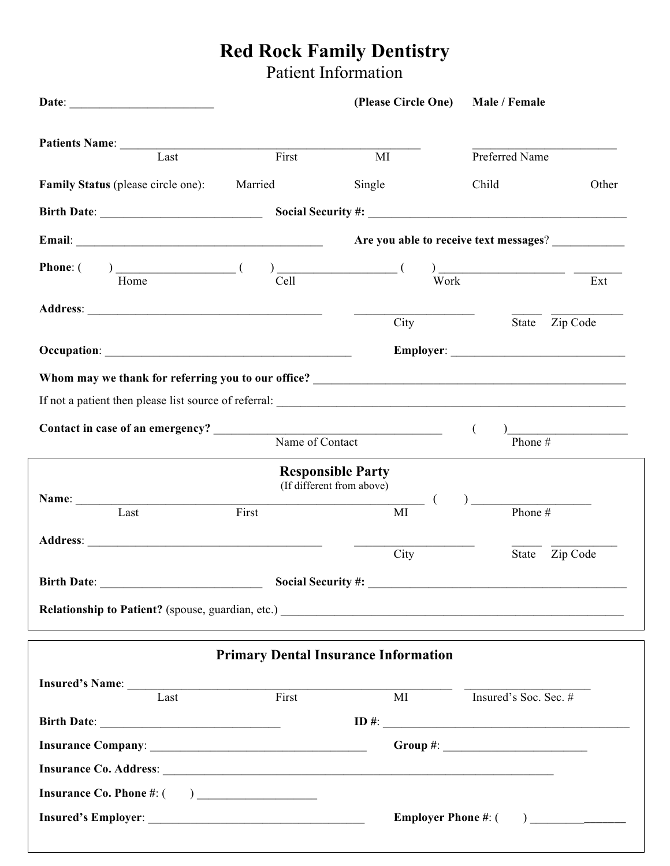## **Red Rock Family Dentistry**

Patient Information

|                                                   |                                                                 | (Please Circle One)                                                                                                                                                                                                                                                                                                                                                             | Male / Female         |  |  |  |  |  |  |  |
|---------------------------------------------------|-----------------------------------------------------------------|---------------------------------------------------------------------------------------------------------------------------------------------------------------------------------------------------------------------------------------------------------------------------------------------------------------------------------------------------------------------------------|-----------------------|--|--|--|--|--|--|--|
| Last                                              | $\overline{First}$                                              | MI                                                                                                                                                                                                                                                                                                                                                                              | Preferred Name        |  |  |  |  |  |  |  |
|                                                   |                                                                 |                                                                                                                                                                                                                                                                                                                                                                                 |                       |  |  |  |  |  |  |  |
| <b>Family Status</b> (please circle one): Married |                                                                 | Single                                                                                                                                                                                                                                                                                                                                                                          | Child<br>Other        |  |  |  |  |  |  |  |
|                                                   |                                                                 |                                                                                                                                                                                                                                                                                                                                                                                 |                       |  |  |  |  |  |  |  |
|                                                   | Are you able to receive text messages?                          |                                                                                                                                                                                                                                                                                                                                                                                 |                       |  |  |  |  |  |  |  |
| Home                                              | Cell                                                            | $\begin{picture}(20,10) \put(0,0){\dashbox{0.5}(10,0){ }} \put(15,0){\dashbox{0.5}(10,0){ }} \put(15,0){\dashbox{0.5}(10,0){ }} \put(15,0){\dashbox{0.5}(10,0){ }} \put(15,0){\dashbox{0.5}(10,0){ }} \put(15,0){\dashbox{0.5}(10,0){ }} \put(15,0){\dashbox{0.5}(10,0){ }} \put(15,0){\dashbox{0.5}(10,0){ }} \put(15,0){\dashbox{0.5}(10,0){ }} \put(15,0){\dashbox{$<br>Work | Ext                   |  |  |  |  |  |  |  |
|                                                   |                                                                 | City                                                                                                                                                                                                                                                                                                                                                                            | State Zip Code        |  |  |  |  |  |  |  |
|                                                   |                                                                 |                                                                                                                                                                                                                                                                                                                                                                                 |                       |  |  |  |  |  |  |  |
|                                                   |                                                                 |                                                                                                                                                                                                                                                                                                                                                                                 |                       |  |  |  |  |  |  |  |
|                                                   |                                                                 |                                                                                                                                                                                                                                                                                                                                                                                 |                       |  |  |  |  |  |  |  |
| Contact in case of an emergency? Name of Contact  |                                                                 |                                                                                                                                                                                                                                                                                                                                                                                 | €                     |  |  |  |  |  |  |  |
|                                                   |                                                                 |                                                                                                                                                                                                                                                                                                                                                                                 | Phone $#$             |  |  |  |  |  |  |  |
|                                                   | <b>Responsible Party</b>                                        | (If different from above)                                                                                                                                                                                                                                                                                                                                                       |                       |  |  |  |  |  |  |  |
| Name: $\_\_$<br>Last                              | <u> 1989 - Johann John Stone, mars eta biztanleria</u><br>First | $\overline{\phantom{a}}$ (<br>MI                                                                                                                                                                                                                                                                                                                                                | Phone#                |  |  |  |  |  |  |  |
|                                                   |                                                                 | City                                                                                                                                                                                                                                                                                                                                                                            |                       |  |  |  |  |  |  |  |
| Birth Date: Social Security #: Social Security #: |                                                                 |                                                                                                                                                                                                                                                                                                                                                                                 | State Zip Code        |  |  |  |  |  |  |  |
|                                                   |                                                                 |                                                                                                                                                                                                                                                                                                                                                                                 |                       |  |  |  |  |  |  |  |
|                                                   |                                                                 |                                                                                                                                                                                                                                                                                                                                                                                 |                       |  |  |  |  |  |  |  |
| <b>Primary Dental Insurance Information</b>       |                                                                 |                                                                                                                                                                                                                                                                                                                                                                                 |                       |  |  |  |  |  |  |  |
|                                                   |                                                                 |                                                                                                                                                                                                                                                                                                                                                                                 |                       |  |  |  |  |  |  |  |
| Insured's Name: Iast First                        |                                                                 | $\overline{\text{MI}}$                                                                                                                                                                                                                                                                                                                                                          | Insured's Soc. Sec. # |  |  |  |  |  |  |  |
|                                                   |                                                                 |                                                                                                                                                                                                                                                                                                                                                                                 |                       |  |  |  |  |  |  |  |
|                                                   |                                                                 |                                                                                                                                                                                                                                                                                                                                                                                 | Group #: $\_$         |  |  |  |  |  |  |  |
|                                                   |                                                                 |                                                                                                                                                                                                                                                                                                                                                                                 |                       |  |  |  |  |  |  |  |
|                                                   |                                                                 |                                                                                                                                                                                                                                                                                                                                                                                 |                       |  |  |  |  |  |  |  |
|                                                   |                                                                 |                                                                                                                                                                                                                                                                                                                                                                                 |                       |  |  |  |  |  |  |  |
|                                                   |                                                                 |                                                                                                                                                                                                                                                                                                                                                                                 |                       |  |  |  |  |  |  |  |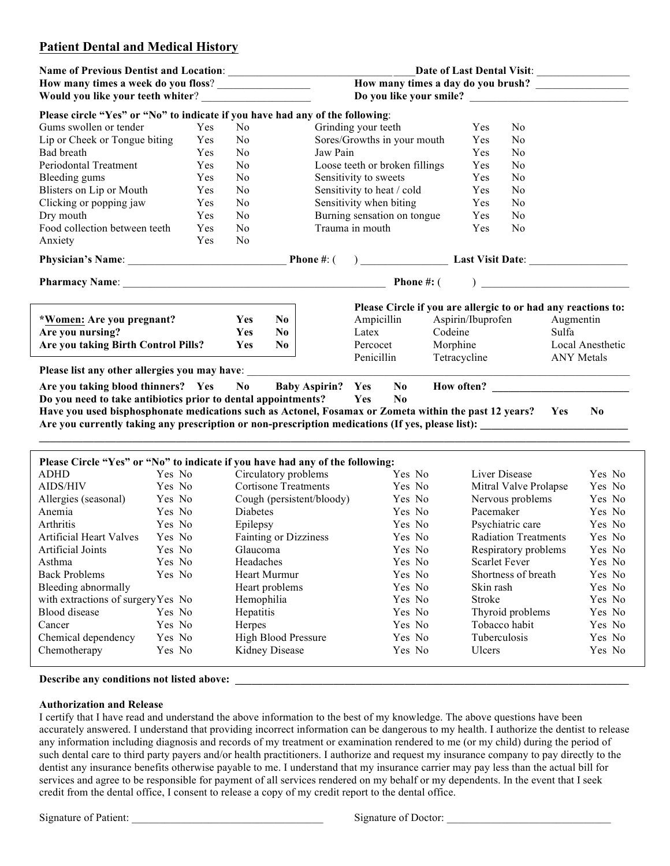## **Patient Dental and Medical History**

| How many times a week do you floss?                                                                       |        |     |                |                             |                              |                                |                             |                                      |                   |                                                 | How many times a day do you brush? |                                                               |
|-----------------------------------------------------------------------------------------------------------|--------|-----|----------------|-----------------------------|------------------------------|--------------------------------|-----------------------------|--------------------------------------|-------------------|-------------------------------------------------|------------------------------------|---------------------------------------------------------------|
| Would you like your teeth whiter?                                                                         |        |     |                |                             |                              |                                |                             |                                      |                   |                                                 |                                    |                                                               |
| Please circle "Yes" or "No" to indicate if you have had any of the following:                             |        |     |                |                             |                              |                                |                             |                                      |                   |                                                 |                                    |                                                               |
| Gums swollen or tender                                                                                    |        | Yes | No             |                             | Grinding your teeth          |                                |                             |                                      | Yes               | N <sub>0</sub>                                  |                                    |                                                               |
| Lip or Cheek or Tongue biting                                                                             |        | Yes | No             |                             |                              |                                | Sores/Growths in your mouth |                                      | Yes               | No                                              |                                    |                                                               |
| Bad breath                                                                                                |        | Yes | No             |                             | Jaw Pain                     |                                |                             |                                      | Yes               | N <sub>0</sub>                                  |                                    |                                                               |
| Periodontal Treatment                                                                                     |        | Yes | N <sub>0</sub> |                             |                              | Loose teeth or broken fillings |                             |                                      | Yes               | N <sub>0</sub>                                  |                                    |                                                               |
| Bleeding gums                                                                                             |        | Yes | No             |                             |                              | Sensitivity to sweets          |                             |                                      | Yes               | N <sub>0</sub>                                  |                                    |                                                               |
| Blisters on Lip or Mouth                                                                                  |        | Yes | No             | Sensitivity to heat / cold  |                              |                                |                             |                                      | Yes               | No                                              |                                    |                                                               |
| Clicking or popping jaw                                                                                   |        | Yes | No             | Sensitivity when biting     |                              |                                |                             |                                      | Yes               | N <sub>0</sub>                                  |                                    |                                                               |
| Dry mouth                                                                                                 |        | Yes | No             | Burning sensation on tongue |                              |                                |                             |                                      | Yes               | N <sub>0</sub>                                  |                                    |                                                               |
| Food collection between teeth                                                                             |        | Yes | No             |                             | Trauma in mouth              |                                |                             |                                      |                   | N <sub>0</sub>                                  |                                    |                                                               |
| Anxiety                                                                                                   |        | Yes | N <sub>0</sub> |                             |                              |                                |                             |                                      | Yes               |                                                 |                                    |                                                               |
|                                                                                                           |        |     |                |                             |                              |                                |                             |                                      |                   |                                                 |                                    |                                                               |
|                                                                                                           |        |     |                |                             |                              |                                |                             |                                      |                   |                                                 |                                    |                                                               |
|                                                                                                           |        |     |                |                             |                              |                                |                             |                                      |                   |                                                 |                                    |                                                               |
|                                                                                                           |        |     |                |                             |                              |                                |                             |                                      |                   |                                                 |                                    | Please Circle if you are allergic to or had any reactions to: |
| *Women: Are you pregnant?                                                                                 |        |     | <b>Yes</b>     | No.                         |                              | Ampicillin                     |                             |                                      | Aspirin/Ibuprofen |                                                 | Augmentin                          |                                                               |
| Are you nursing?                                                                                          |        |     | <b>Yes</b>     | N <sub>0</sub>              |                              | Latex                          |                             | Codeine                              |                   |                                                 | Sulfa                              |                                                               |
| Are you taking Birth Control Pills?                                                                       |        | Yes | N <sub>0</sub> | Morphine<br>Percocet        |                              |                                |                             |                                      | Local Anesthetic  |                                                 |                                    |                                                               |
|                                                                                                           |        |     |                |                             | Penicillin                   |                                |                             |                                      | Tetracycline      |                                                 |                                    | <b>ANY Metals</b>                                             |
| Please list any other allergies you may have:                                                             |        |     |                |                             |                              |                                |                             |                                      |                   |                                                 |                                    |                                                               |
| Are you taking blood thinners? Yes                                                                        |        |     | N <sub>0</sub> |                             | Baby Aspirin? Yes No         |                                |                             |                                      |                   |                                                 |                                    |                                                               |
| Do you need to take antibiotics prior to dental appointments? Yes                                         |        |     |                |                             |                              |                                | N <sub>0</sub>              |                                      |                   |                                                 |                                    |                                                               |
| Have you used bisphosphonate medications such as Actonel, Fosamax or Zometa within the past 12 years? Yes |        |     |                |                             |                              |                                |                             |                                      |                   |                                                 |                                    | N <sub>0</sub>                                                |
|                                                                                                           |        |     |                |                             |                              |                                |                             |                                      |                   |                                                 |                                    |                                                               |
|                                                                                                           |        |     |                |                             |                              |                                |                             |                                      |                   |                                                 |                                    |                                                               |
|                                                                                                           |        |     |                |                             |                              |                                |                             |                                      |                   |                                                 |                                    |                                                               |
| Please Circle "Yes" or "No" to indicate if you have had any of the following:<br><b>ADHD</b>              | Yes No |     |                |                             | Circulatory problems         |                                | Yes No                      |                                      |                   | Liver Disease                                   |                                    | Yes No                                                        |
| AIDS/HIV                                                                                                  | Yes No |     |                |                             | <b>Cortisone Treatments</b>  |                                | Yes No                      |                                      |                   | Mitral Valve Prolapse                           |                                    | Yes No                                                        |
|                                                                                                           | Yes No |     |                |                             | Cough (persistent/bloody)    |                                | Yes No                      |                                      |                   | Nervous problems                                |                                    | Yes No                                                        |
| Allergies (seasonal)<br>Anemia                                                                            | Yes No |     | Diabetes       |                             |                              |                                | Yes No                      |                                      | Pacemaker         |                                                 |                                    | Yes No                                                        |
| Arthritis                                                                                                 | Yes No |     |                |                             |                              |                                | Yes No                      |                                      |                   |                                                 |                                    | Yes No                                                        |
| <b>Artificial Heart Valves</b>                                                                            |        |     | Epilepsy       |                             |                              |                                |                             |                                      |                   | Psychiatric care<br><b>Radiation Treatments</b> |                                    |                                                               |
|                                                                                                           | Yes No |     |                |                             | <b>Fainting or Dizziness</b> |                                | Yes No                      |                                      |                   |                                                 |                                    | Yes No                                                        |
| Artificial Joints                                                                                         | Yes No |     |                |                             | Glaucoma                     |                                | Yes No                      | Respiratory problems                 |                   |                                                 |                                    | Yes No                                                        |
| Asthma                                                                                                    | Yes No |     | Headaches      |                             |                              |                                | Yes No                      | Scarlet Fever<br>Shortness of breath |                   |                                                 |                                    | Yes No                                                        |
| <b>Back Problems</b>                                                                                      | Yes No |     | Heart Murmur   |                             |                              |                                | Yes No                      |                                      |                   |                                                 |                                    | Yes No                                                        |
| Bleeding abnormally                                                                                       |        |     | Heart problems |                             |                              |                                | Yes No                      |                                      | Skin rash         |                                                 |                                    | Yes No                                                        |
| with extractions of surgery Yes No                                                                        |        |     | Hemophilia     |                             |                              |                                | Yes No                      |                                      | Stroke            |                                                 |                                    | Yes No                                                        |
| <b>Blood</b> disease                                                                                      | Yes No |     | Hepatitis      |                             |                              |                                | Yes No                      |                                      |                   | Thyroid problems                                |                                    | Yes No                                                        |
| Cancer                                                                                                    | Yes No |     | Herpes         |                             |                              |                                | Yes No                      |                                      |                   | Tobacco habit                                   |                                    | Yes No                                                        |
| Chemical dependency                                                                                       | Yes No |     |                |                             | <b>High Blood Pressure</b>   |                                | Yes No                      |                                      |                   | Tuberculosis                                    |                                    | Yes No                                                        |
| Chemotherapy                                                                                              | Yes No |     | Kidney Disease |                             |                              |                                | Yes No                      |                                      | Ulcers            |                                                 |                                    | Yes No                                                        |

### **Describe any conditions not listed above: \_\_\_\_\_\_\_\_\_\_\_\_\_\_\_\_\_\_\_\_\_\_\_\_\_\_\_\_\_\_\_\_\_\_\_\_\_\_\_\_\_\_\_\_\_\_\_\_\_\_\_\_\_\_\_\_\_\_\_\_\_\_\_\_\_\_\_\_\_\_\_\_**

#### **Authorization and Release**

I certify that I have read and understand the above information to the best of my knowledge. The above questions have been accurately answered. I understand that providing incorrect information can be dangerous to my health. I authorize the dentist to release any information including diagnosis and records of my treatment or examination rendered to me (or my child) during the period of such dental care to third party payers and/or health practitioners. I authorize and request my insurance company to pay directly to the dentist any insurance benefits otherwise payable to me. I understand that my insurance carrier may pay less than the actual bill for services and agree to be responsible for payment of all services rendered on my behalf or my dependents. In the event that I seek credit from the dental office, I consent to release a copy of my credit report to the dental office.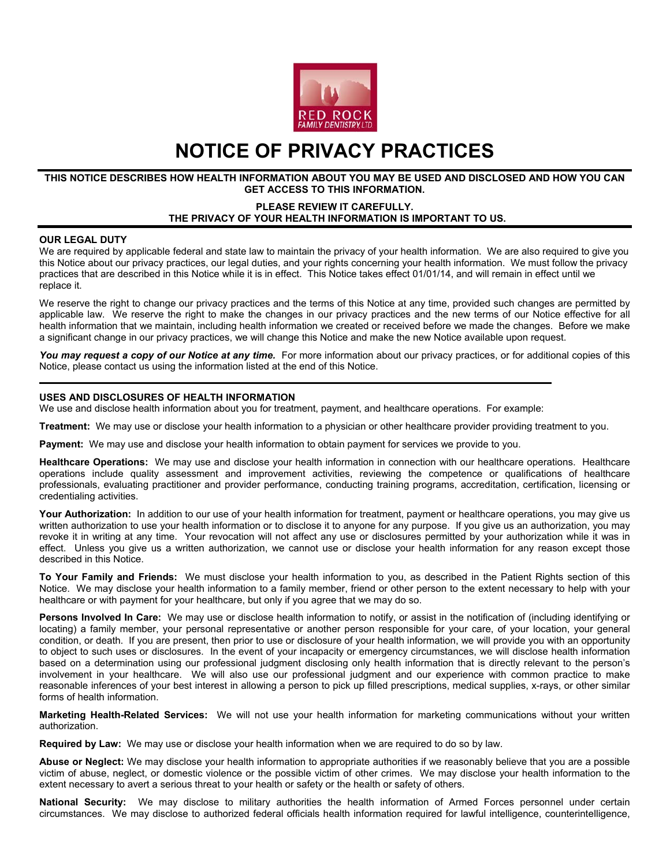

# **NOTICE OF PRIVACY PRACTICES**

#### **THIS NOTICE DESCRIBES HOW HEALTH INFORMATION ABOUT YOU MAY BE USED AND DISCLOSED AND HOW YOU CAN GET ACCESS TO THIS INFORMATION.**

#### **PLEASE REVIEW IT CAREFULLY. THE PRIVACY OF YOUR HEALTH INFORMATION IS IMPORTANT TO US.**

#### **OUR LEGAL DUTY**

We are required by applicable federal and state law to maintain the privacy of your health information. We are also required to give you this Notice about our privacy practices, our legal duties, and your rights concerning your health information. We must follow the privacy practices that are described in this Notice while it is in effect. This Notice takes effect 01/01/14, and will remain in effect until we replace it.

We reserve the right to change our privacy practices and the terms of this Notice at any time, provided such changes are permitted by applicable law. We reserve the right to make the changes in our privacy practices and the new terms of our Notice effective for all health information that we maintain, including health information we created or received before we made the changes. Before we make a significant change in our privacy practices, we will change this Notice and make the new Notice available upon request.

You may request a copy of our Notice at any time. For more information about our privacy practices, or for additional copies of this Notice, please contact us using the information listed at the end of this Notice.

#### **USES AND DISCLOSURES OF HEALTH INFORMATION**

We use and disclose health information about you for treatment, payment, and healthcare operations. For example:

**Treatment:** We may use or disclose your health information to a physician or other healthcare provider providing treatment to you.

**Payment:** We may use and disclose your health information to obtain payment for services we provide to you.

**Healthcare Operations:** We may use and disclose your health information in connection with our healthcare operations. Healthcare operations include quality assessment and improvement activities, reviewing the competence or qualifications of healthcare professionals, evaluating practitioner and provider performance, conducting training programs, accreditation, certification, licensing or credentialing activities.

**Your Authorization:** In addition to our use of your health information for treatment, payment or healthcare operations, you may give us written authorization to use your health information or to disclose it to anyone for any purpose. If you give us an authorization, you may revoke it in writing at any time. Your revocation will not affect any use or disclosures permitted by your authorization while it was in effect. Unless you give us a written authorization, we cannot use or disclose your health information for any reason except those described in this Notice.

**To Your Family and Friends:** We must disclose your health information to you, as described in the Patient Rights section of this Notice. We may disclose your health information to a family member, friend or other person to the extent necessary to help with your healthcare or with payment for your healthcare, but only if you agree that we may do so.

**Persons Involved In Care:** We may use or disclose health information to notify, or assist in the notification of (including identifying or locating) a family member, your personal representative or another person responsible for your care, of your location, your general condition, or death. If you are present, then prior to use or disclosure of your health information, we will provide you with an opportunity to object to such uses or disclosures. In the event of your incapacity or emergency circumstances, we will disclose health information based on a determination using our professional judgment disclosing only health information that is directly relevant to the person's involvement in your healthcare. We will also use our professional judgment and our experience with common practice to make reasonable inferences of your best interest in allowing a person to pick up filled prescriptions, medical supplies, x-rays, or other similar forms of health information.

**Marketing Health-Related Services:** We will not use your health information for marketing communications without your written authorization.

**Required by Law:** We may use or disclose your health information when we are required to do so by law.

**Abuse or Neglect:** We may disclose your health information to appropriate authorities if we reasonably believe that you are a possible victim of abuse, neglect, or domestic violence or the possible victim of other crimes. We may disclose your health information to the extent necessary to avert a serious threat to your health or safety or the health or safety of others.

**National Security:** We may disclose to military authorities the health information of Armed Forces personnel under certain circumstances. We may disclose to authorized federal officials health information required for lawful intelligence, counterintelligence,